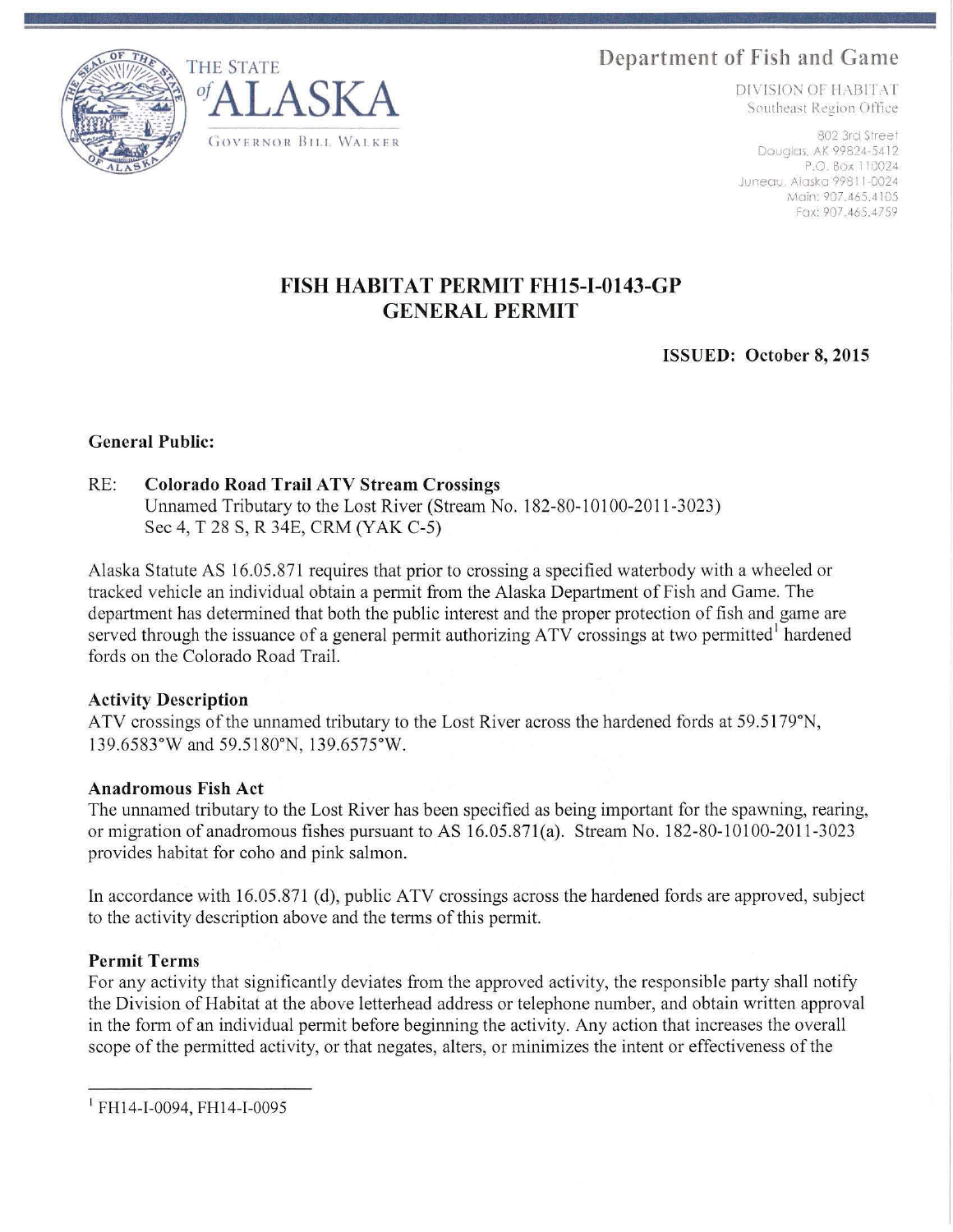**Department of Fish and Game** THE STATE





DIVISION OF HABITAT Southeast Region Office

Douglas, AK 99824-5412 P.O Box I 10024 Juneau, Alaska 9981 1-0024 Main: 907.465.4105 Fcrx: 907.465.4759

# **FISH HABITAT PERMIT FHlS-1-0143-GP GENERAL PERMlT**

**ISSUED: October 8, 2015** 

## **General Public:**

## RE: **Colorado Road Trail A TV Stream Crossings**

Unnamed Tributary to the Lost River (Stream No. 182-80-10l00-2011-3023) Sec 4, T 28 S, R 34E, CRM (YAK C-5)

Alaska Statute AS 16.05.87 1 requires that prior to crossing a specified waterbody with a wheeled or tracked vehicle an individual obtain a permit from the Alaska Department of Fish and Game. The department has determined that both the public interest and the proper protection of fish and game are served through the issuance of a general permit authorizing ATV crossings at two permitted hardened fords on the Colorado Road Trail.

#### **Activity Description**

ATV crossings of the unnamed tributary to the Lost River across the hardened fords at 59.5179°N, 139.6583°W and 59.5180°N, 139.6575°W.

#### **Anadromous Fish Act**

The unnamed tributary to the Lost River has been specified as being important for the spawning, rearing, or migration of anadromous fishes pursuant to AS 16.05.871(a). Stream No. 182-80-10100-2011-3023 provides habitat for coho and pink salmon.

In accordance with 16.05.871 (d), public ATV crossings across the hardened fords are approved, subject to the activity description above and the terms of this permit.

# **Permit Terms**

For any activity that significantly deviates from the approved activity, the responsible party shall notify the Division of Habitat at the above letterhead address or telephone number, and obtain written approval in the form of an individual permit before beginning the activity. Any action that increases the overall scope of the permitted activity, or that negates, alters, or minimizes the intent or effectiveness of the

 $I$  FH14-I-0094, FH14-I-0095